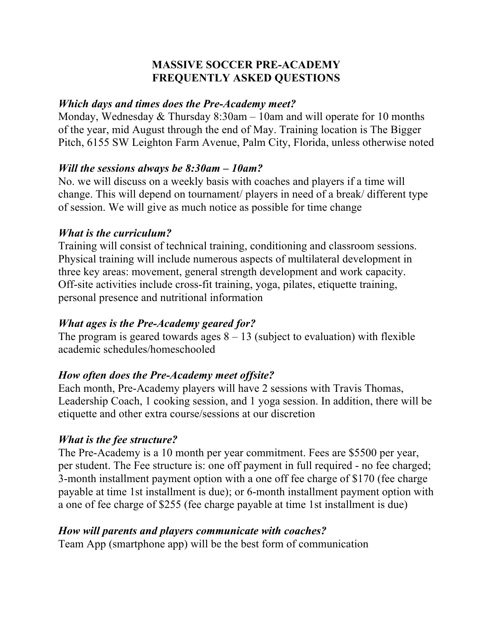### **MASSIVE SOCCER PRE-ACADEMY FREQUENTLY ASKED QUESTIONS**

#### *Which days and times does the Pre-Academy meet?*

Monday, Wednesday & Thursday 8:30am – 10am and will operate for 10 months of the year, mid August through the end of May. Training location is The Bigger Pitch, 6155 SW Leighton Farm Avenue, Palm City, Florida, unless otherwise noted

#### *Will the sessions always be 8:30am – 10am?*

No. we will discuss on a weekly basis with coaches and players if a time will change. This will depend on tournament/ players in need of a break/ different type of session. We will give as much notice as possible for time change

### *What is the curriculum?*

Training will consist of technical training, conditioning and classroom sessions. Physical training will include numerous aspects of multilateral development in three key areas: movement, general strength development and work capacity. Off-site activities include cross-fit training, yoga, pilates, etiquette training, personal presence and nutritional information

### *What ages is the Pre-Academy geared for?*

The program is geared towards ages  $8 - 13$  (subject to evaluation) with flexible academic schedules/homeschooled

### *How often does the Pre-Academy meet offsite?*

Each month, Pre-Academy players will have 2 sessions with Travis Thomas, Leadership Coach, 1 cooking session, and 1 yoga session. In addition, there will be etiquette and other extra course/sessions at our discretion

### *What is the fee structure?*

The Pre-Academy is a 10 month per year commitment. Fees are \$5500 per year, per student. The Fee structure is: one off payment in full required - no fee charged; 3-month installment payment option with a one off fee charge of \$170 (fee charge payable at time 1st installment is due); or 6-month installment payment option with a one of fee charge of \$255 (fee charge payable at time 1st installment is due)

### *How will parents and players communicate with coaches?*

Team App (smartphone app) will be the best form of communication